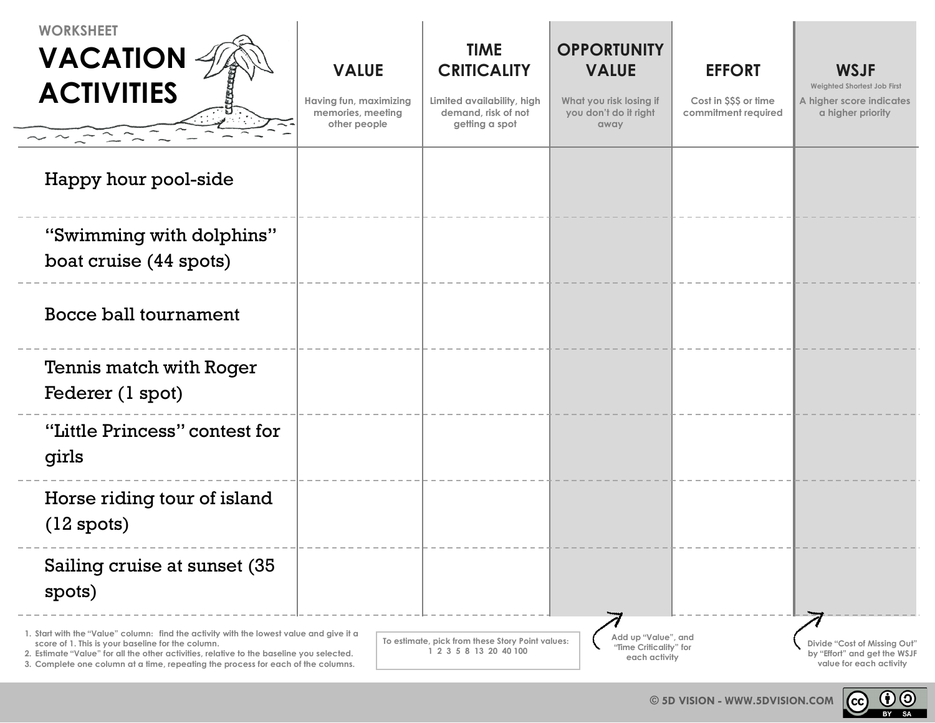| <b>WORKSHEET</b><br><b>VACATION</b><br><b>ACTIVITIES</b>                                                                                                                                                                                                                                                                     | <b>VALUE</b><br>Having fun, maximizing<br>memories, meeting<br>other people | <b>TIME</b><br><b>CRITICALITY</b><br>Limited availability, high<br>demand, risk of not<br>getting a spot | <b>OPPORTUNITY</b><br><b>VALUE</b><br>What you risk losing if<br>you don't do it right<br>away | <b>EFFORT</b><br>Cost in \$\$\$ or time<br>commitment required | <b>WSJF</b><br>Weighted Shortest Job First<br>A higher score indicates<br>a higher priority |
|------------------------------------------------------------------------------------------------------------------------------------------------------------------------------------------------------------------------------------------------------------------------------------------------------------------------------|-----------------------------------------------------------------------------|----------------------------------------------------------------------------------------------------------|------------------------------------------------------------------------------------------------|----------------------------------------------------------------|---------------------------------------------------------------------------------------------|
| Happy hour pool-side                                                                                                                                                                                                                                                                                                         |                                                                             |                                                                                                          |                                                                                                |                                                                |                                                                                             |
| "Swimming with dolphins"<br>boat cruise (44 spots)                                                                                                                                                                                                                                                                           |                                                                             |                                                                                                          |                                                                                                |                                                                |                                                                                             |
| <b>Bocce ball tournament</b>                                                                                                                                                                                                                                                                                                 |                                                                             |                                                                                                          |                                                                                                |                                                                |                                                                                             |
| Tennis match with Roger<br>Federer (1 spot)                                                                                                                                                                                                                                                                                  |                                                                             |                                                                                                          |                                                                                                |                                                                |                                                                                             |
| "Little Princess" contest for<br>girls                                                                                                                                                                                                                                                                                       |                                                                             |                                                                                                          |                                                                                                |                                                                |                                                                                             |
| Horse riding tour of island<br>$(12$ spots)                                                                                                                                                                                                                                                                                  |                                                                             |                                                                                                          |                                                                                                |                                                                |                                                                                             |
| Sailing cruise at sunset (35)<br>spots)                                                                                                                                                                                                                                                                                      |                                                                             |                                                                                                          |                                                                                                |                                                                |                                                                                             |
| 1. Start with the "Value" column: find the activity with the lowest value and give it a<br>score of 1. This is your baseline for the column.<br>2. Estimate "Value" for all the other activities, relative to the baseline you selected.<br>3. Complete one column at a time, repeating the process for each of the columns. |                                                                             | To estimate, pick from these Story Point values:<br>1 2 3 5 8 13 20 40 100                               | Add up "Value", and<br>"Time Criticality" for<br>each activity                                 |                                                                | Divide "Cost of Missing Out"<br>by "Effort" and get the WSJF<br>value for each activity     |